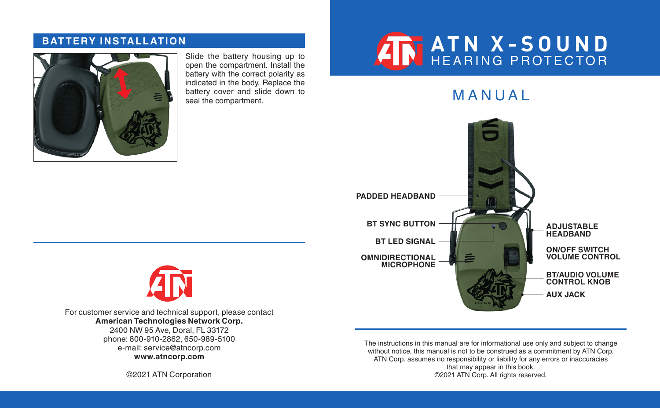### **BATTERY INSTALLATION**



Slide the battery housing up to open the compartment. Install the battery with the correct polarity as indicated in the body. Replace the battery cover and slide down to<br>seal the compartment.

# **ATN X-SOUND** HEARING PROTECTOR

**MANUAL** 





For customer service and technical support, please contact **American Technologies Network Corp.** 2400 NW 95 Ave, Doral, FL 33172 phone: 800-910-2862, 650-989-5100 e-mail: service@atncorp.com **www.atncorp.com**

©2021 ATN Corporation

The instructions in this manual are for informational use only and subject to change without notice, this manual is not to be construed as a commitment by ATN Corp. ATN Corp. assumes no responsibility or liability for any errors or inaccuracies that may appear in this book. ©2021 ATN Corp. All rights reserved.